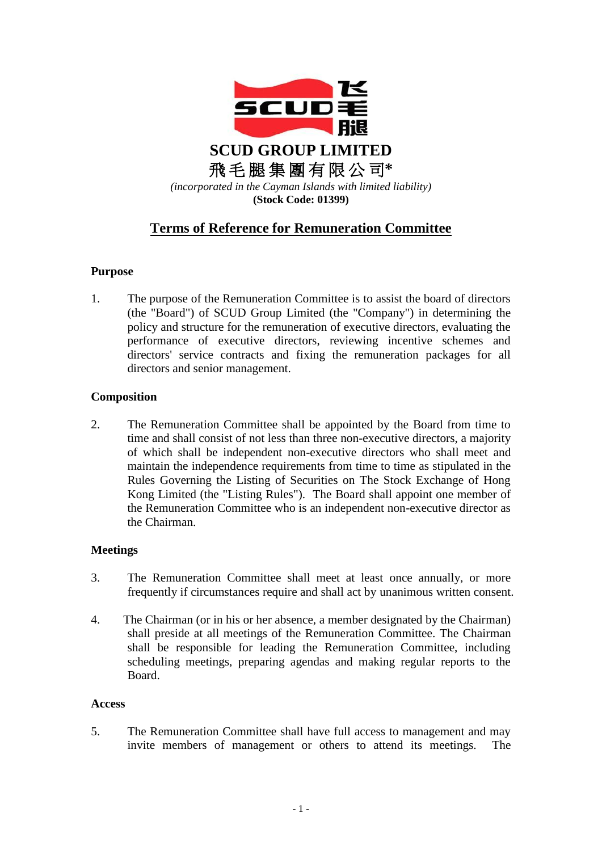

# **Terms of Reference for Remuneration Committee**

# **Purpose**

1. The purpose of the Remuneration Committee is to assist the board of directors (the "Board") of SCUD Group Limited (the "Company") in determining the policy and structure for the remuneration of executive directors, evaluating the performance of executive directors, reviewing incentive schemes and directors' service contracts and fixing the remuneration packages for all directors and senior management.

# **Composition**

2. The Remuneration Committee shall be appointed by the Board from time to time and shall consist of not less than three non-executive directors, a majority of which shall be independent non-executive directors who shall meet and maintain the independence requirements from time to time as stipulated in the Rules Governing the Listing of Securities on The Stock Exchange of Hong Kong Limited (the "Listing Rules"). The Board shall appoint one member of the Remuneration Committee who is an independent non-executive director as the Chairman.

# **Meetings**

- 3. The Remuneration Committee shall meet at least once annually, or more frequently if circumstances require and shall act by unanimous written consent.
- 4. The Chairman (or in his or her absence, a member designated by the Chairman) shall preside at all meetings of the Remuneration Committee. The Chairman shall be responsible for leading the Remuneration Committee, including scheduling meetings, preparing agendas and making regular reports to the Board.

#### **Access**

5. The Remuneration Committee shall have full access to management and may invite members of management or others to attend its meetings. The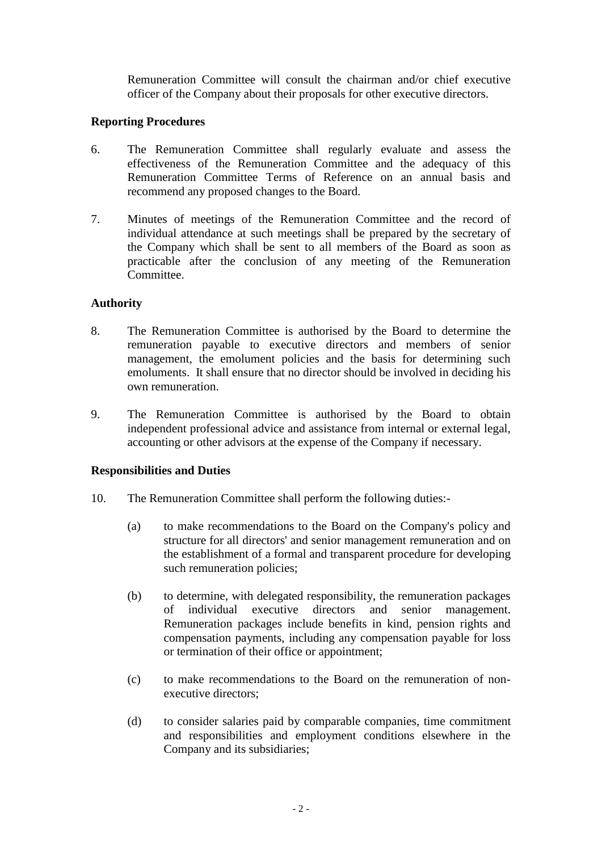Remuneration Committee will consult the chairman and/or chief executive officer of the Company about their proposals for other executive directors.

# **Reporting Procedures**

- 6. The Remuneration Committee shall regularly evaluate and assess the effectiveness of the Remuneration Committee and the adequacy of this Remuneration Committee Terms of Reference on an annual basis and recommend any proposed changes to the Board.
- 7. Minutes of meetings of the Remuneration Committee and the record of individual attendance at such meetings shall be prepared by the secretary of the Company which shall be sent to all members of the Board as soon as practicable after the conclusion of any meeting of the Remuneration Committee.

# **Authority**

- 8. The Remuneration Committee is authorised by the Board to determine the remuneration payable to executive directors and members of senior management, the emolument policies and the basis for determining such emoluments. It shall ensure that no director should be involved in deciding his own remuneration.
- 9. The Remuneration Committee is authorised by the Board to obtain independent professional advice and assistance from internal or external legal, accounting or other advisors at the expense of the Company if necessary.

#### **Responsibilities and Duties**

- 10. The Remuneration Committee shall perform the following duties:-
	- (a) to make recommendations to the Board on the Company's policy and structure for all directors' and senior management remuneration and on the establishment of a formal and transparent procedure for developing such remuneration policies;
	- (b) to determine, with delegated responsibility, the remuneration packages of individual executive directors and senior management. Remuneration packages include benefits in kind, pension rights and compensation payments, including any compensation payable for loss or termination of their office or appointment;
	- (c) to make recommendations to the Board on the remuneration of nonexecutive directors;
	- (d) to consider salaries paid by comparable companies, time commitment and responsibilities and employment conditions elsewhere in the Company and its subsidiaries;